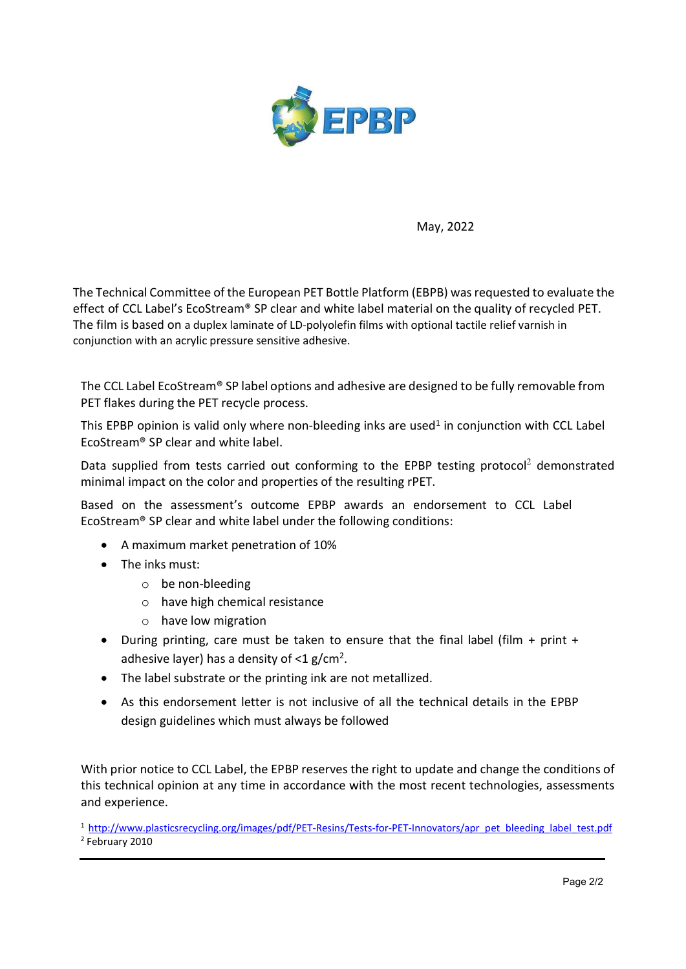

May, 2022

The Technical Committee of the European PET Bottle Platform (EBPB) was requested to evaluate the effect of CCL Label's EcoStream® SP clear and white label material on the quality of recycled PET. The film is based on a duplex laminate of LD-polyolefin films with optional tactile relief varnish in conjunction with an acrylic pressure sensitive adhesive.

The CCL Label EcoStream® SP label options and adhesive are designed to be fully removable from PET flakes during the PET recycle process.

This EPBP opinion is valid only where non-bleeding inks are used<sup>1</sup> in conjunction with CCL Label EcoStream® SP clear and white label.

Data supplied from tests carried out conforming to the EPBP testing protocol<sup>2</sup> demonstrated minimal impact on the color and properties of the resulting rPET.

Based on the assessment's outcome EPBP awards an endorsement to CCL Label EcoStream® SP clear and white label under the following conditions:

- A maximum market penetration of 10%
- The inks must:
	- o be non-bleeding
	- o have high chemical resistance
	- o have low migration
- During printing, care must be taken to ensure that the final label (film  $+$  print  $+$ adhesive layer) has a density of  $<$ 1 g/cm<sup>2</sup>.
- The label substrate or the printing ink are not metallized.
- As this endorsement letter is not inclusive of all the technical details in the EPBP design guidelines which must always be followed

With prior notice to CCL Label, the EPBP reserves the right to update and change the conditions of this technical opinion at any time in accordance with the most recent technologies, assessments and experience.

<sup>1</sup> http://www.plasticsrecycling.org/images/pdf/PET-Resins/Tests-for-PET-Innovators/apr\_pet\_bleeding\_label\_test.pdf 2 February 2010